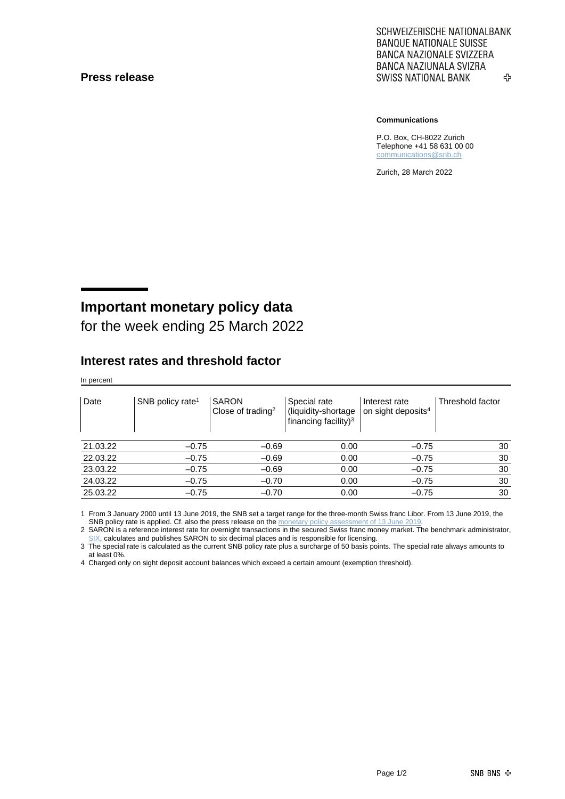#### **Press release**

SCHWEIZERISCHE NATIONALBANK **BANQUE NATIONALE SUISSE BANCA NAZIONALE SVIZZERA** BANCA NAZIUNALA SVIZRA **SWISS NATIONAL BANK** ኇ

#### **Communications**

P.O. Box, CH-8022 Zurich Telephone +41 58 631 00 00 [communications@snb.ch](mailto:communications@snb.ch)

Zurich, 28 March 2022

# **Important monetary policy data**

for the week ending 25 March 2022

### **Interest rates and threshold factor**

In percent

| Date     | SNB policy rate <sup>1</sup> | <b>SARON</b><br>Close of trading <sup>2</sup> | Special rate<br>(liquidity-shortage<br>financing facility) <sup>3</sup> | Interest rate<br>on sight deposits <sup>4</sup> | Threshold factor |
|----------|------------------------------|-----------------------------------------------|-------------------------------------------------------------------------|-------------------------------------------------|------------------|
| 21.03.22 | $-0.75$                      | $-0.69$                                       | 0.00                                                                    | $-0.75$                                         | 30               |
| 22.03.22 | $-0.75$                      | $-0.69$                                       | 0.00                                                                    | $-0.75$                                         | 30               |
| 23.03.22 | $-0.75$                      | $-0.69$                                       | 0.00                                                                    | $-0.75$                                         | 30               |
| 24.03.22 | $-0.75$                      | $-0.70$                                       | 0.00                                                                    | $-0.75$                                         | 30               |
| 25.03.22 | $-0.75$                      | $-0.70$                                       | 0.00                                                                    | $-0.75$                                         | 30               |

1 From 3 January 2000 until 13 June 2019, the SNB set a target range for the three-month Swiss franc Libor. From 13 June 2019, the SNB policy rate is applied. Cf. also the press release on th[e monetary policy assessment of 13](https://www.snb.ch/en/mmr/reference/pre_20190613/source/pre_20190613.en.pdf) June 201

2 SARON is a reference interest rate for overnight transactions in the secured Swiss franc money market. The benchmark administrator, [SIX,](https://www.six-group.com/exchanges/indices/data_centre/swiss_reference_rates/reference_rates_en.html) calculates and publishes SARON to six decimal places and is responsible for licensing.

3 The special rate is calculated as the current SNB policy rate plus a surcharge of 50 basis points. The special rate always amounts to at least 0%.

4 Charged only on sight deposit account balances which exceed a certain amount (exemption threshold).